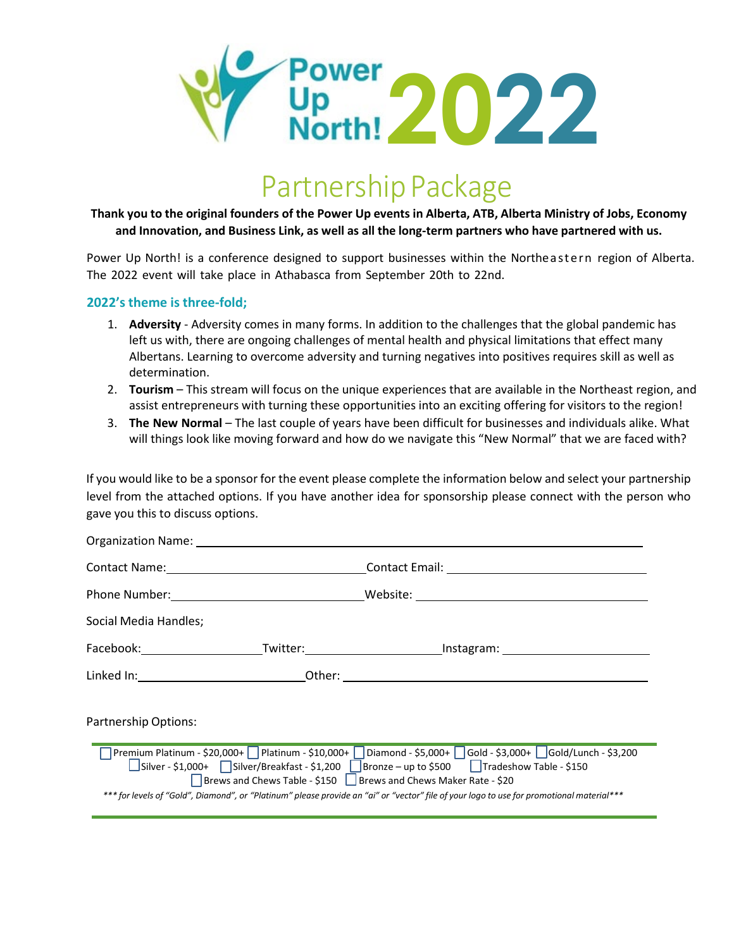

# Partnership Package

Thank you to the original founders of the Power Up events in Alberta, ATB, Alberta Ministry of Jobs, Economy **and Innovation, and Business Link, as well as all the long-term partners who have partnered with us.**

Power Up North! is a conference designed to support businesses within the Northeastern region of Alberta. The 2022 event will take place in Athabasca from September 20th to 22nd.

#### **2022's theme is three-fold;**

- 1. **Adversity** Adversity comes in many forms. In addition to the challenges that the global pandemic has left us with, there are ongoing challenges of mental health and physical limitations that effect many Albertans. Learning to overcome adversity and turning negatives into positives requires skill as well as determination.
- 2. **Tourism** This stream will focus on the unique experiences that are available in the Northeast region, and assist entrepreneurs with turning these opportunities into an exciting offering for visitors to the region!
- 3. **The New Normal** The last couple of years have been difficult for businesses and individuals alike. What will things look like moving forward and how do we navigate this "New Normal" that we are faced with?

If you would like to be a sponsor for the event please complete the information below and select your partnership level from the attached options. If you have another idea for sponsorship please connect with the person who gave you this to discuss options.

| Organization Name: Names                                                                                                                                                                                                                                                                                                                                                                                                              |  |  |
|---------------------------------------------------------------------------------------------------------------------------------------------------------------------------------------------------------------------------------------------------------------------------------------------------------------------------------------------------------------------------------------------------------------------------------------|--|--|
|                                                                                                                                                                                                                                                                                                                                                                                                                                       |  |  |
|                                                                                                                                                                                                                                                                                                                                                                                                                                       |  |  |
| Social Media Handles;                                                                                                                                                                                                                                                                                                                                                                                                                 |  |  |
|                                                                                                                                                                                                                                                                                                                                                                                                                                       |  |  |
|                                                                                                                                                                                                                                                                                                                                                                                                                                       |  |  |
| <b>Partnership Options:</b>                                                                                                                                                                                                                                                                                                                                                                                                           |  |  |
| Premium Platinum - \$20,000+   Platinum - \$10,000+   Diamond - \$5,000+   Gold - \$3,000+   Gold/Lunch - \$3,200<br> Silver - \$1,000+   Silver/Breakfast - \$1,200   Bronze – up to \$500   Tradeshow Table - \$150<br>Brews and Chews Table - \$150 Shews and Chews Maker Rate - \$20<br>*** for levels of "Gold", Diamond", or "Platinum" please provide an "ai" or "vector" file of your logo to use for promotional material*** |  |  |
|                                                                                                                                                                                                                                                                                                                                                                                                                                       |  |  |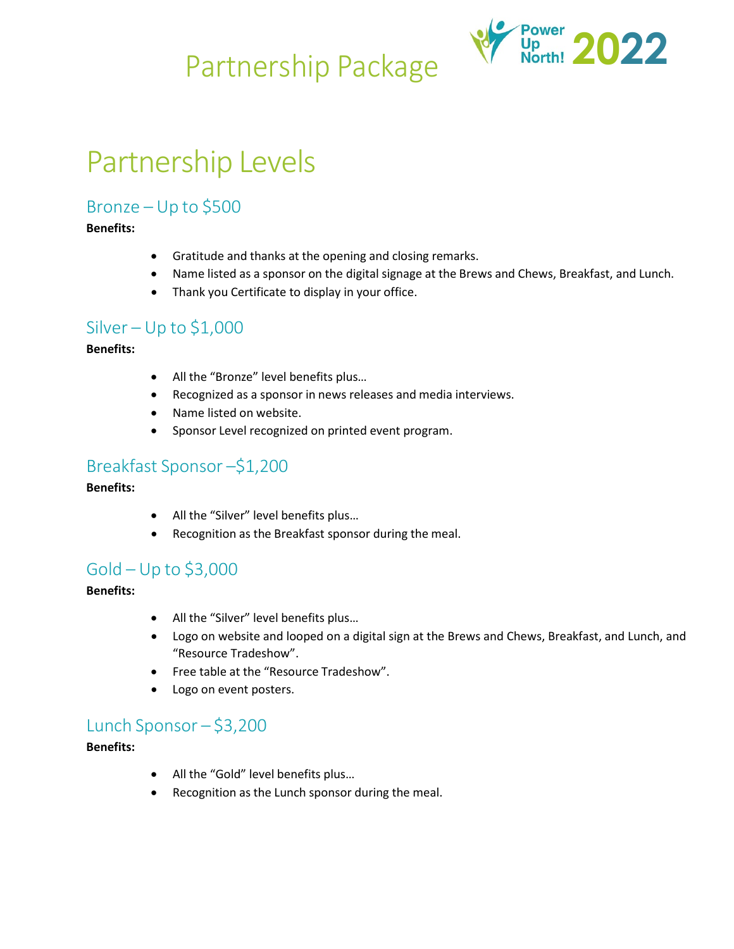

# Partnership Levels

# Bronze – Up to \$500

### **Benefits:**

- Gratitude and thanks at the opening and closing remarks.
- Name listed as a sponsor on the digital signage at the Brews and Chews, Breakfast, and Lunch.
- Thank you Certificate to display in your office.

### Silver – Up to  $$1,000$

#### **Benefits:**

- All the "Bronze" level benefits plus…
- Recognized as a sponsor in news releases and media interviews.
- Name listed on website.
- Sponsor Level recognized on printed event program.

# Breakfast Sponsor –\$1,200

#### **Benefits:**

- All the "Silver" level benefits plus...
- Recognition as the Breakfast sponsor during the meal.

# Gold – Up to \$3,000

#### **Benefits:**

- All the "Silver" level benefits plus...
- Logo on website and looped on a digital sign at the Brews and Chews, Breakfast, and Lunch, and "Resource Tradeshow".
- Free table at the "Resource Tradeshow".
- Logo on event posters.

# Lunch Sponsor – \$3,200

#### **Benefits:**

- All the "Gold" level benefits plus…
- Recognition as the Lunch sponsor during the meal.